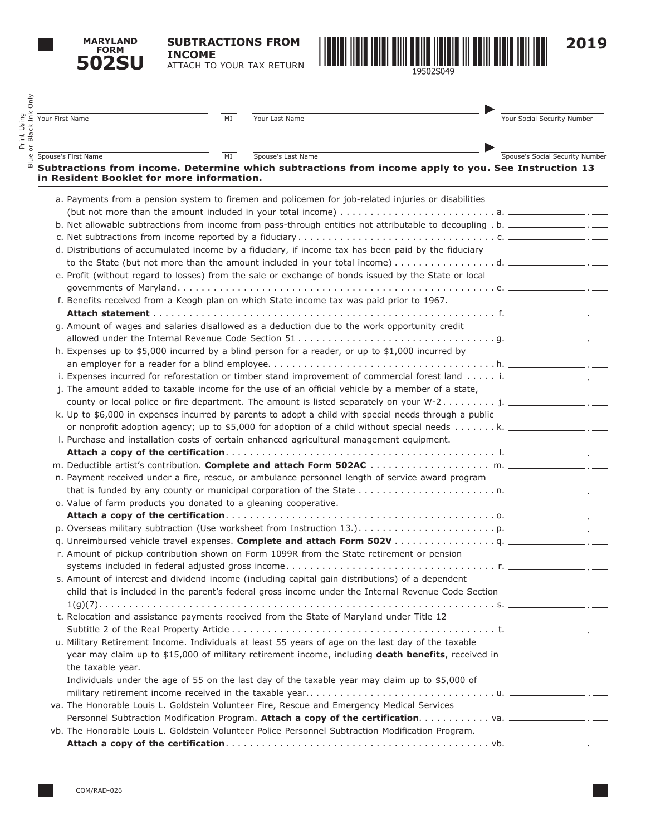**MARYLAND FORM 502SU**

Print Using

**SUBTRACTIONS FROM INCOME** ATTACH TO YOUR TAX RETURN



| Your First Name                                                  | MI<br>Your Last Name     |                                                                                                                                  | Your Social Security Number     |
|------------------------------------------------------------------|--------------------------|----------------------------------------------------------------------------------------------------------------------------------|---------------------------------|
| Spouse's First Name                                              | MI<br>Spouse's Last Name |                                                                                                                                  | Spouse's Social Security Number |
| in Resident Booklet for more information.                        |                          | Subtractions from income. Determine which subtractions from income apply to you. See Instruction 13                              |                                 |
|                                                                  |                          | a. Payments from a pension system to firemen and policemen for job-related injuries or disabilities                              |                                 |
|                                                                  |                          |                                                                                                                                  |                                 |
|                                                                  |                          | b. Net allowable subtractions from income from pass-through entities not attributable to decoupling . b. ________________. _____ |                                 |
|                                                                  |                          |                                                                                                                                  |                                 |
|                                                                  |                          | d. Distributions of accumulated income by a fiduciary, if income tax has been paid by the fiduciary                              |                                 |
|                                                                  |                          | to the State (but not more than the amount included in your total income) $\dots \dots \dots \dots$ d.                           |                                 |
|                                                                  |                          | e. Profit (without regard to losses) from the sale or exchange of bonds issued by the State or local                             |                                 |
|                                                                  |                          |                                                                                                                                  |                                 |
|                                                                  |                          | f. Benefits received from a Keogh plan on which State income tax was paid prior to 1967.                                         |                                 |
|                                                                  |                          |                                                                                                                                  |                                 |
|                                                                  |                          | g. Amount of wages and salaries disallowed as a deduction due to the work opportunity credit                                     |                                 |
|                                                                  |                          |                                                                                                                                  |                                 |
|                                                                  |                          | h. Expenses up to \$5,000 incurred by a blind person for a reader, or up to \$1,000 incurred by                                  |                                 |
|                                                                  |                          |                                                                                                                                  |                                 |
|                                                                  |                          | i. Expenses incurred for reforestation or timber stand improvement of commercial forest land  i. _______________.                |                                 |
|                                                                  |                          | j. The amount added to taxable income for the use of an official vehicle by a member of a state,                                 |                                 |
|                                                                  |                          |                                                                                                                                  |                                 |
|                                                                  |                          | k. Up to \$6,000 in expenses incurred by parents to adopt a child with special needs through a public                            |                                 |
|                                                                  |                          | or nonprofit adoption agency; up to \$5,000 for adoption of a child without special needs k. ___________________.                |                                 |
|                                                                  |                          | I. Purchase and installation costs of certain enhanced agricultural management equipment.                                        |                                 |
|                                                                  |                          |                                                                                                                                  |                                 |
|                                                                  |                          |                                                                                                                                  |                                 |
|                                                                  |                          | n. Payment received under a fire, rescue, or ambulance personnel length of service award program                                 |                                 |
|                                                                  |                          |                                                                                                                                  |                                 |
| o. Value of farm products you donated to a gleaning cooperative. |                          |                                                                                                                                  |                                 |
|                                                                  |                          |                                                                                                                                  |                                 |
|                                                                  |                          |                                                                                                                                  |                                 |
|                                                                  |                          |                                                                                                                                  |                                 |
|                                                                  |                          | r. Amount of pickup contribution shown on Form 1099R from the State retirement or pension                                        |                                 |
|                                                                  |                          |                                                                                                                                  |                                 |
|                                                                  |                          | s. Amount of interest and dividend income (including capital gain distributions) of a dependent                                  |                                 |
|                                                                  |                          | child that is included in the parent's federal gross income under the Internal Revenue Code Section                              |                                 |
|                                                                  |                          |                                                                                                                                  |                                 |
|                                                                  |                          | t. Relocation and assistance payments received from the State of Maryland under Title 12                                         |                                 |
|                                                                  |                          |                                                                                                                                  |                                 |
|                                                                  |                          | u. Military Retirement Income. Individuals at least 55 years of age on the last day of the taxable                               |                                 |
|                                                                  |                          | year may claim up to \$15,000 of military retirement income, including death benefits, received in                               |                                 |
| the taxable year.                                                |                          |                                                                                                                                  |                                 |
|                                                                  |                          | Individuals under the age of 55 on the last day of the taxable year may claim up to \$5,000 of                                   |                                 |
|                                                                  |                          |                                                                                                                                  |                                 |
|                                                                  |                          | va. The Honorable Louis L. Goldstein Volunteer Fire, Rescue and Emergency Medical Services                                       |                                 |
|                                                                  |                          |                                                                                                                                  |                                 |
|                                                                  |                          | vb. The Honorable Louis L. Goldstein Volunteer Police Personnel Subtraction Modification Program.                                |                                 |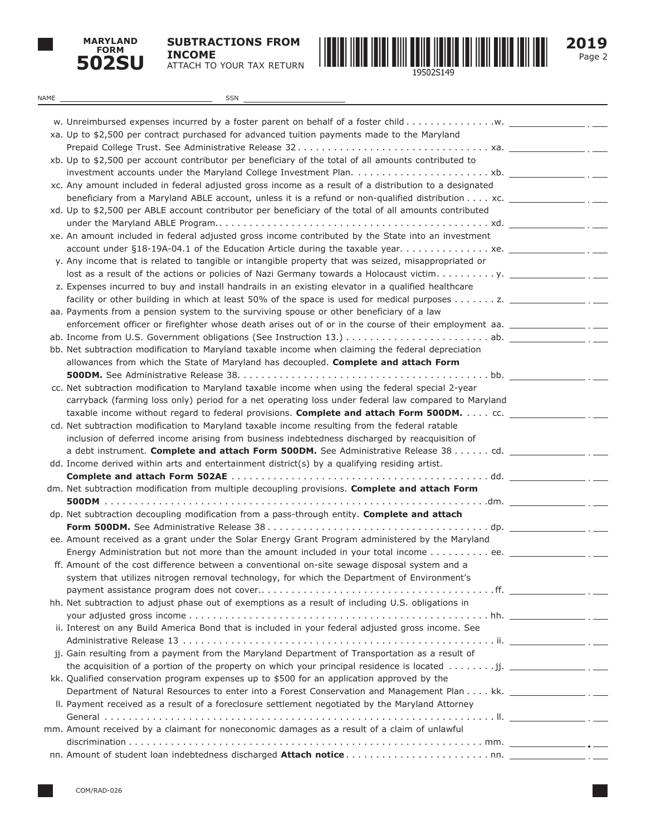

**SUBTRACTIONS FROM INCOME** ATTACH TO YOUR TAX RETURN



Page 2 **2019**

| NAME | SSN                                                                                                                                                                                                                   |  |
|------|-----------------------------------------------------------------------------------------------------------------------------------------------------------------------------------------------------------------------|--|
|      |                                                                                                                                                                                                                       |  |
|      |                                                                                                                                                                                                                       |  |
|      | xa. Up to \$2,500 per contract purchased for advanced tuition payments made to the Maryland                                                                                                                           |  |
|      | xb. Up to \$2,500 per account contributor per beneficiary of the total of all amounts contributed to                                                                                                                  |  |
|      |                                                                                                                                                                                                                       |  |
|      | xc. Any amount included in federal adjusted gross income as a result of a distribution to a designated                                                                                                                |  |
|      | beneficiary from a Maryland ABLE account, unless it is a refund or non-qualified distribution $\dots$ xc.                                                                                                             |  |
|      | xd. Up to \$2,500 per ABLE account contributor per beneficiary of the total of all amounts contributed                                                                                                                |  |
|      |                                                                                                                                                                                                                       |  |
|      | xe. An amount included in federal adjusted gross income contributed by the State into an investment                                                                                                                   |  |
|      |                                                                                                                                                                                                                       |  |
|      | y. Any income that is related to tangible or intangible property that was seized, misappropriated or                                                                                                                  |  |
|      |                                                                                                                                                                                                                       |  |
|      | z. Expenses incurred to buy and install handrails in an existing elevator in a qualified healthcare                                                                                                                   |  |
|      | facility or other building in which at least 50% of the space is used for medical purposes $\dots \dots z$ .                                                                                                          |  |
|      | aa. Payments from a pension system to the surviving spouse or other beneficiary of a law<br>enforcement officer or firefighter whose death arises out of or in the course of their employment aa. __________________. |  |
|      |                                                                                                                                                                                                                       |  |
|      | bb. Net subtraction modification to Maryland taxable income when claiming the federal depreciation                                                                                                                    |  |
|      | allowances from which the State of Maryland has decoupled. Complete and attach Form                                                                                                                                   |  |
|      |                                                                                                                                                                                                                       |  |
|      | cc. Net subtraction modification to Maryland taxable income when using the federal special 2-year                                                                                                                     |  |
|      | carryback (farming loss only) period for a net operating loss under federal law compared to Maryland                                                                                                                  |  |
|      | taxable income without regard to federal provisions. Complete and attach Form 500DM. cc.                                                                                                                              |  |
|      | cd. Net subtraction modification to Maryland taxable income resulting from the federal ratable                                                                                                                        |  |
|      | inclusion of deferred income arising from business indebtedness discharged by reacquisition of                                                                                                                        |  |
|      | a debt instrument. Complete and attach Form 500DM. See Administrative Release 38 cd.                                                                                                                                  |  |
|      | dd. Income derived within arts and entertainment district(s) by a qualifying residing artist.                                                                                                                         |  |
|      | dm. Net subtraction modification from multiple decoupling provisions. Complete and attach Form                                                                                                                        |  |
|      |                                                                                                                                                                                                                       |  |
|      | dp. Net subtraction decoupling modification from a pass-through entity. Complete and attach                                                                                                                           |  |
|      |                                                                                                                                                                                                                       |  |
|      | ee. Amount received as a grant under the Solar Energy Grant Program administered by the Maryland                                                                                                                      |  |
|      | Energy Administration but not more than the amount included in your total income ee. ___________                                                                                                                      |  |
|      | ff. Amount of the cost difference between a conventional on-site sewage disposal system and a                                                                                                                         |  |
|      | system that utilizes nitrogen removal technology, for which the Department of Environment's                                                                                                                           |  |
|      |                                                                                                                                                                                                                       |  |
|      | hh. Net subtraction to adjust phase out of exemptions as a result of including U.S. obligations in                                                                                                                    |  |
|      |                                                                                                                                                                                                                       |  |
|      | ii. Interest on any Build America Bond that is included in your federal adjusted gross income. See                                                                                                                    |  |
|      |                                                                                                                                                                                                                       |  |
|      | jj. Gain resulting from a payment from the Maryland Department of Transportation as a result of<br>the acquisition of a portion of the property on which your principal residence is located jj. $\frac{1}{\sqrt{2}}$ |  |
|      | kk. Qualified conservation program expenses up to \$500 for an application approved by the                                                                                                                            |  |
|      |                                                                                                                                                                                                                       |  |
|      | II. Payment received as a result of a foreclosure settlement negotiated by the Maryland Attorney                                                                                                                      |  |
|      |                                                                                                                                                                                                                       |  |
|      | mm. Amount received by a claimant for noneconomic damages as a result of a claim of unlawful                                                                                                                          |  |
|      |                                                                                                                                                                                                                       |  |
|      |                                                                                                                                                                                                                       |  |
|      |                                                                                                                                                                                                                       |  |